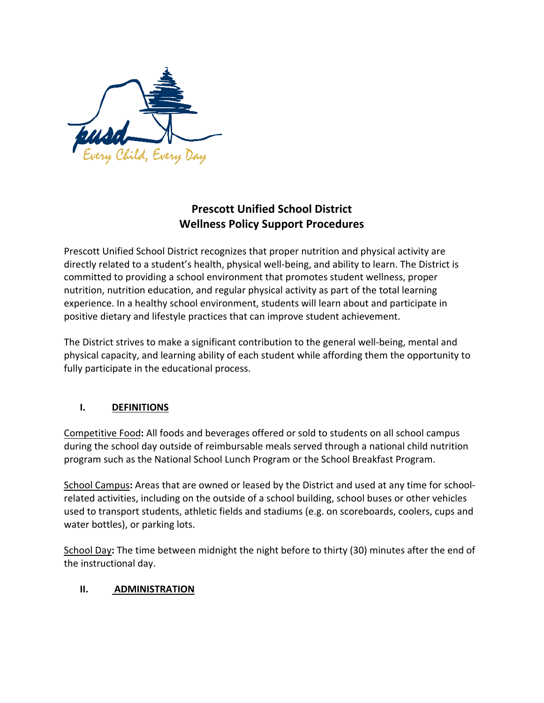

# **Prescott Unified School District Wellness Policy Support Procedures**

Prescott Unified School District recognizes that proper nutrition and physical activity are directly related to a student's health, physical well-being, and ability to learn. The District is committed to providing a school environment that promotes student wellness, proper nutrition, nutrition education, and regular physical activity as part of the total learning experience. In a healthy school environment, students will learn about and participate in positive dietary and lifestyle practices that can improve student achievement.

The District strives to make a significant contribution to the general well-being, mental and physical capacity, and learning ability of each student while affording them the opportunity to fully participate in the educational process.

# **I. DEFINITIONS**

Competitive Food**:** All foods and beverages offered or sold to students on all school campus during the school day outside of reimbursable meals served through a national child nutrition program such as the National School Lunch Program or the School Breakfast Program.

School Campus**:** Areas that are owned or leased by the District and used at any time for schoolrelated activities, including on the outside of a school building, school buses or other vehicles used to transport students, athletic fields and stadiums (e.g. on scoreboards, coolers, cups and water bottles), or parking lots.

School Day**:** The time between midnight the night before to thirty (30) minutes after the end of the instructional day.

## **II. ADMINISTRATION**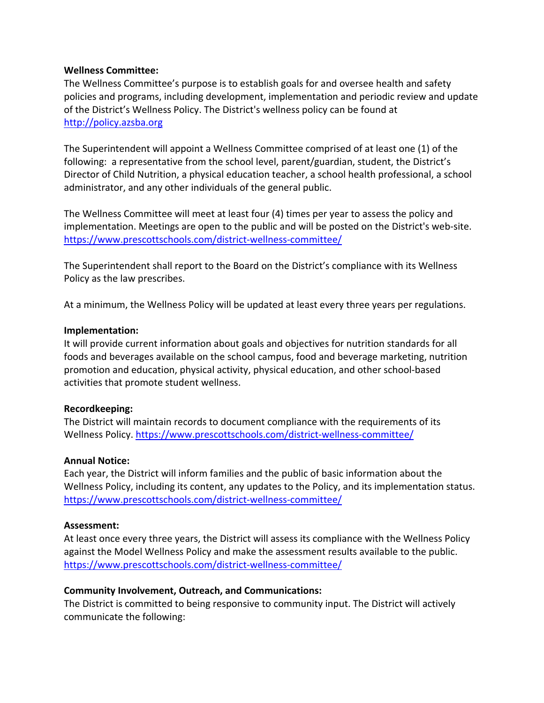#### **Wellness Committee:**

The Wellness Committee's purpose is to establish goals for and oversee health and safety policies and programs, including development, implementation and periodic review and update of the District's Wellness Policy. The District's wellness policy can be found at [http://policy.azsba.org](http://policy.azsba.org/)

The Superintendent will appoint a Wellness Committee comprised of at least one (1) of the following: a representative from the school level, parent/guardian, student, the District's Director of Child Nutrition, a physical education teacher, a school health professional, a school administrator, and any other individuals of the general public.

The Wellness Committee will meet at least four (4) times per year to assess the policy and implementation. Meetings are open to the public and will be posted on the District's web-site. <https://www.prescottschools.com/district-wellness-committee/>

The Superintendent shall report to the Board on the District's compliance with its Wellness Policy as the law prescribes.

At a minimum, the Wellness Policy will be updated at least every three years per regulations.

#### **Implementation:**

It will provide current information about goals and objectives for nutrition standards for all foods and beverages available on the school campus, food and beverage marketing, nutrition promotion and education, physical activity, physical education, and other school-based activities that promote student wellness.

#### **Recordkeeping:**

The District will maintain records to document compliance with the requirements of its Wellness Policy.<https://www.prescottschools.com/district-wellness-committee/>

#### **Annual Notice:**

Each year, the District will inform families and the public of basic information about the Wellness Policy, including its content, any updates to the Policy, and its implementation status. <https://www.prescottschools.com/district-wellness-committee/>

#### **Assessment:**

At least once every three years, the District will assess its compliance with the Wellness Policy against the Model Wellness Policy and make the assessment results available to the public. <https://www.prescottschools.com/district-wellness-committee/>

#### **Community Involvement, Outreach, and Communications:**

The District is committed to being responsive to community input. The District will actively communicate the following: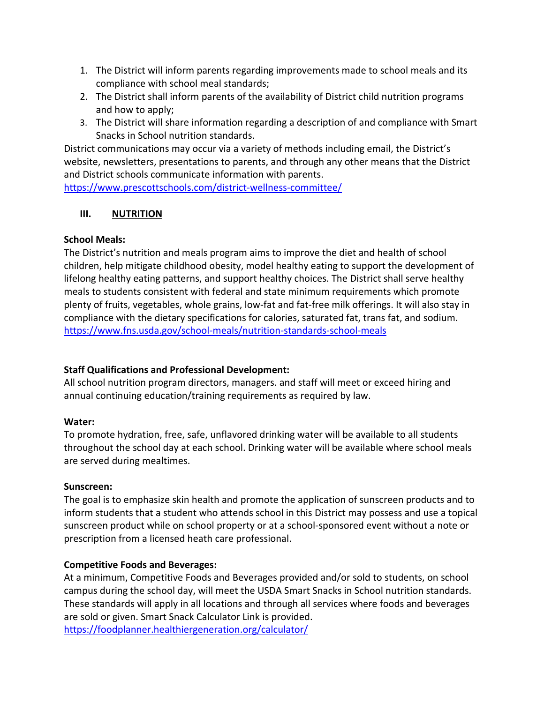- 1. The District will inform parents regarding improvements made to school meals and its compliance with school meal standards;
- 2. The District shall inform parents of the availability of District child nutrition programs and how to apply;
- 3. The District will share information regarding a description of and compliance with Smart Snacks in School nutrition standards.

District communications may occur via a variety of methods including email, the District's website, newsletters, presentations to parents, and through any other means that the District and District schools communicate information with parents.

<https://www.prescottschools.com/district-wellness-committee/>

# **III. NUTRITION**

# **School Meals:**

The District's nutrition and meals program aims to improve the diet and health of school children, help mitigate childhood obesity, model healthy eating to support the development of lifelong healthy eating patterns, and support healthy choices. The District shall serve healthy meals to students consistent with federal and state minimum requirements which promote plenty of fruits, vegetables, whole grains, low-fat and fat-free milk offerings. It will also stay in compliance with the dietary specifications for calories, saturated fat, trans fat, and sodium. <https://www.fns.usda.gov/school-meals/nutrition-standards-school-meals>

# **Staff Qualifications and Professional Development:**

All school nutrition program directors, managers. and staff will meet or exceed hiring and annual continuing education/training requirements as required by law.

# **Water:**

To promote hydration, free, safe, unflavored drinking water will be available to all students throughout the school day at each school. Drinking water will be available where school meals are served during mealtimes.

## **Sunscreen:**

The goal is to emphasize skin health and promote the application of sunscreen products and to inform students that a student who attends school in this District may possess and use a topical sunscreen product while on school property or at a school-sponsored event without a note or prescription from a licensed heath care professional.

# **Competitive Foods and Beverages:**

At a minimum, Competitive Foods and Beverages provided and/or sold to students, on school campus during the school day, will meet the USDA Smart Snacks in School nutrition standards. These standards will apply in all locations and through all services where foods and beverages are sold or given. Smart Snack Calculator Link is provided. <https://foodplanner.healthiergeneration.org/calculator/>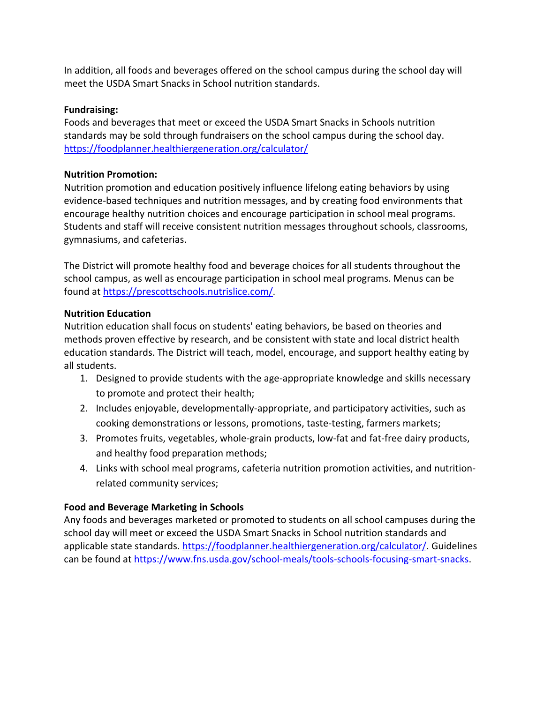In addition, all foods and beverages offered on the school campus during the school day will meet the USDA Smart Snacks in School nutrition standards.

### **Fundraising:**

Foods and beverages that meet or exceed the USDA Smart Snacks in Schools nutrition standards may be sold through fundraisers on the school campus during the school day. <https://foodplanner.healthiergeneration.org/calculator/>

### **Nutrition Promotion:**

Nutrition promotion and education positively influence lifelong eating behaviors by using evidence-based techniques and nutrition messages, and by creating food environments that encourage healthy nutrition choices and encourage participation in school meal programs. Students and staff will receive consistent nutrition messages throughout schools, classrooms, gymnasiums, and cafeterias.

The District will promote healthy food and beverage choices for all students throughout the school campus, as well as encourage participation in school meal programs. Menus can be found at [https://prescottschools.nutrislice.com/.](https://prescottschools.nutrislice.com/)

### **Nutrition Education**

Nutrition education shall focus on students' eating behaviors, be based on theories and methods proven effective by research, and be consistent with state and local district health education standards. The District will teach, model, encourage, and support healthy eating by all students.

- 1. Designed to provide students with the age-appropriate knowledge and skills necessary to promote and protect their health;
- 2. Includes enjoyable, developmentally-appropriate, and participatory activities, such as cooking demonstrations or lessons, promotions, taste-testing, farmers markets;
- 3. Promotes fruits, vegetables, whole-grain products, low-fat and fat-free dairy products, and healthy food preparation methods;
- 4. Links with school meal programs, cafeteria nutrition promotion activities, and nutritionrelated community services;

## **Food and Beverage Marketing in Schools**

Any foods and beverages marketed or promoted to students on all school campuses during the school day will meet or exceed the USDA Smart Snacks in School nutrition standards and applicable state standards. [https://foodplanner.healthiergeneration.org/calculator/.](https://foodplanner.healthiergeneration.org/calculator/) Guidelines can be found at [https://www.fns.usda.gov/school-meals/tools-schools-focusing-smart-snacks.](https://www.fns.usda.gov/school-meals/tools-schools-focusing-smart-snacks)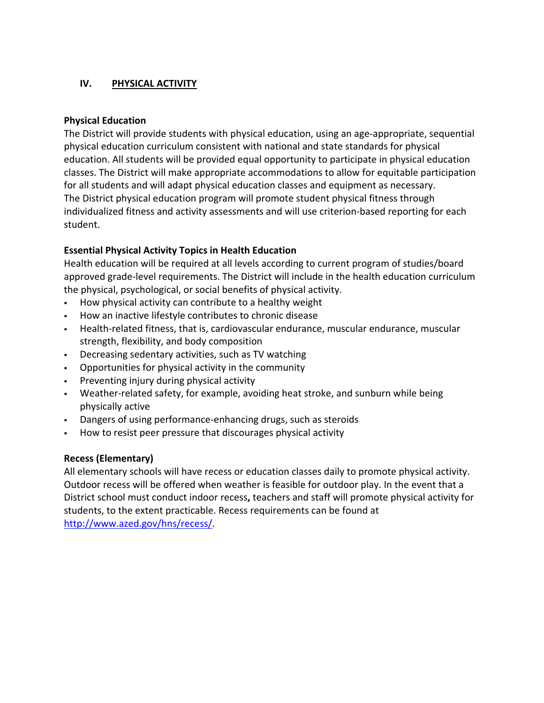# **IV. PHYSICAL ACTIVITY**

### **Physical Education**

The District will provide students with physical education, using an age-appropriate, sequential physical education curriculum consistent with national and state standards for physical education. All students will be provided equal opportunity to participate in physical education classes. The District will make appropriate accommodations to allow for equitable participation for all students and will adapt physical education classes and equipment as necessary. The District physical education program will promote student physical fitness through individualized fitness and activity assessments and will use criterion-based reporting for each student.

## **Essential Physical Activity Topics in Health Education**

Health education will be required at all levels according to current program of studies/board approved grade-level requirements. The District will include in the health education curriculum the physical, psychological, or social benefits of physical activity.

- How physical activity can contribute to a healthy weight
- How an inactive lifestyle contributes to chronic disease
- Health-related fitness, that is, cardiovascular endurance, muscular endurance, muscular strength, flexibility, and body composition
- Decreasing sedentary activities, such as TV watching
- Opportunities for physical activity in the community
- Preventing injury during physical activity
- Weather-related safety, for example, avoiding heat stroke, and sunburn while being physically active
- Dangers of using performance-enhancing drugs, such as steroids
- How to resist peer pressure that discourages physical activity

#### **Recess (Elementary)**

All elementary schools will have recess or education classes daily to promote physical activity. Outdoor recess will be offered when weather is feasible for outdoor play. In the event that a District school must conduct indoor recess**,** teachers and staff will promote physical activity for students, to the extent practicable. Recess requirements can be found at [http://www.azed.gov/hns/recess/.](http://www.azed.gov/hns/recess/)